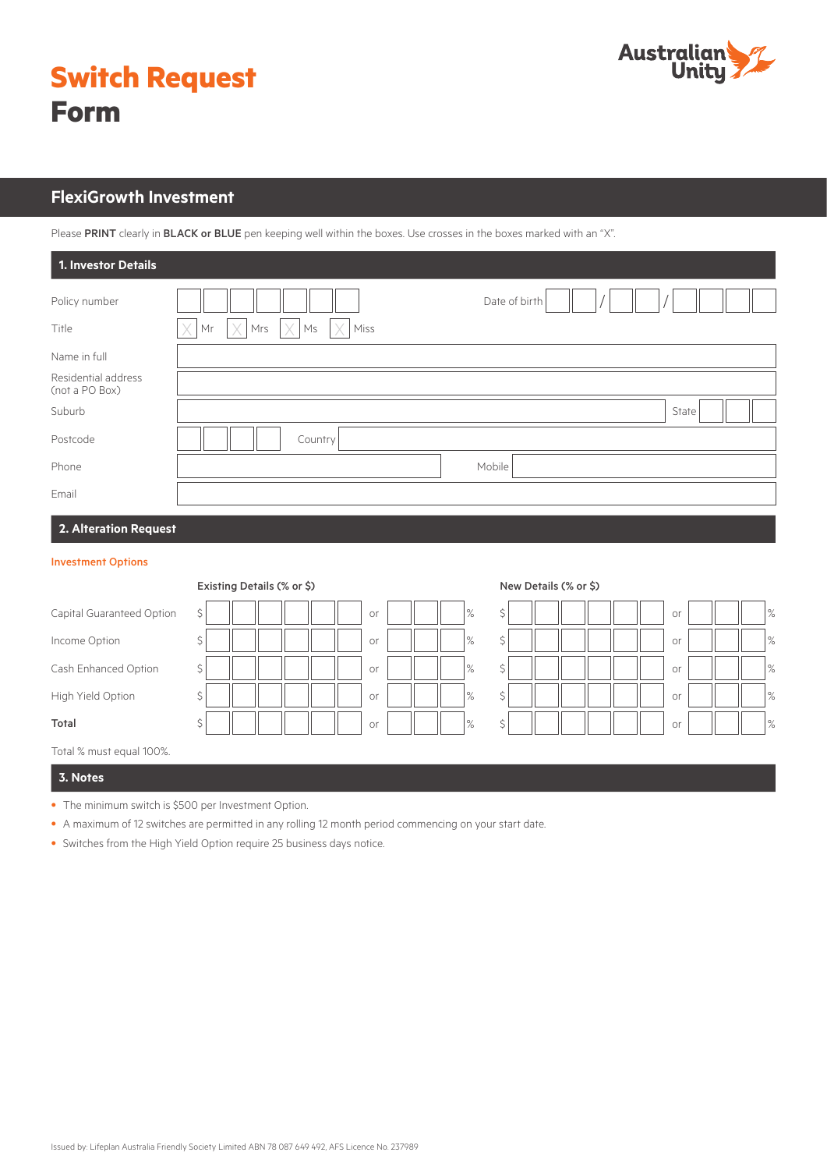

|             | <b>Switch Request</b> |
|-------------|-----------------------|
| <b>Form</b> |                       |

# **FlexiGrowth Investment**

Please PRINT clearly in BLACK or BLUE pen keeping well within the boxes. Use crosses in the boxes marked with an "X".

| 1. Investor Details                   |                                                                  |               |
|---------------------------------------|------------------------------------------------------------------|---------------|
| Policy number                         |                                                                  | Date of birth |
| Title                                 | $\times$<br>$\times$<br>X<br>$\times$<br>Ms<br>Miss<br>Mrs<br>Mr |               |
| Name in full                          |                                                                  |               |
| Residential address<br>(not a PO Box) |                                                                  |               |
| Suburb                                |                                                                  | State         |
| Postcode                              | Country                                                          |               |
| Phone                                 |                                                                  | Mobile        |
| Email                                 |                                                                  |               |
| 2. Alteration Request                 |                                                                  |               |

## Investment Options

|                           | Existing Details (% or \$) |            |  | New Details (% or \$) |  |    |  |               |  |
|---------------------------|----------------------------|------------|--|-----------------------|--|----|--|---------------|--|
| Capital Guaranteed Option | \$                         | %<br>or    |  | \$                    |  | or |  | $ \%$         |  |
| Income Option             | \$                         | $\%$<br>or |  | \$                    |  | or |  | $\frac{9}{6}$ |  |
| Cash Enhanced Option      | \$                         | $\%$<br>or |  | \$                    |  | or |  | $\frac{9}{6}$ |  |
| High Yield Option         | ∸                          | %<br>or    |  | \$                    |  | or |  | $\frac{9}{6}$ |  |
| Total                     | Ś.                         | $\%$<br>or |  | \$                    |  | or |  | $\frac{9}{6}$ |  |
| Total % must equal 100%.  |                            |            |  |                       |  |    |  |               |  |

# **3. Notes**

- The minimum switch is \$500 per Investment Option.
- A maximum of 12 switches are permitted in any rolling 12 month period commencing on your start date.
- Switches from the High Yield Option require 25 business days notice.